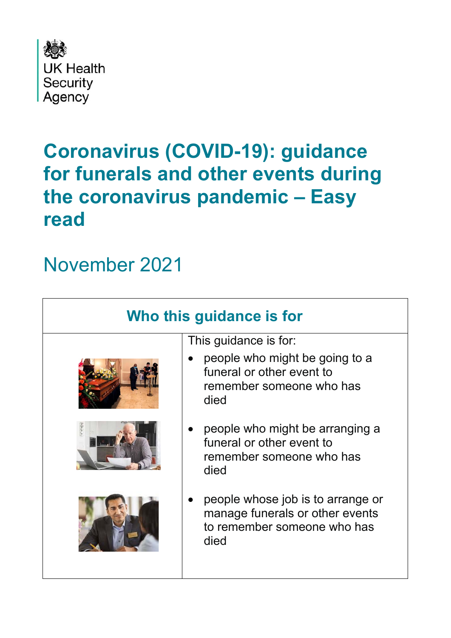

# **Coronavirus (COVID-19): guidance for funerals and other events during the coronavirus pandemic – Easy read**

# November 2021

| Who this guidance is for |                                                                                                             |
|--------------------------|-------------------------------------------------------------------------------------------------------------|
|                          | This guidance is for:                                                                                       |
|                          | people who might be going to a<br>funeral or other event to<br>remember someone who has<br>died             |
|                          | people who might be arranging a<br>funeral or other event to<br>remember someone who has<br>died            |
|                          | people whose job is to arrange or<br>manage funerals or other events<br>to remember someone who has<br>died |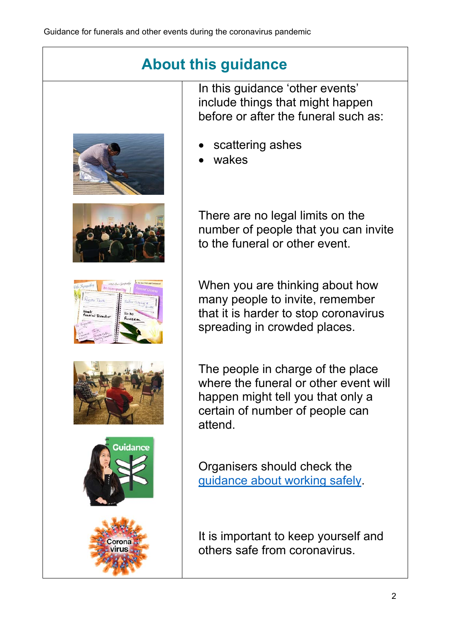### **About this guidance**













In this guidance 'other events' include things that might happen before or after the funeral such as:

- scattering ashes
- wakes

There are no legal limits on the number of people that you can invite to the funeral or other event.

When you are thinking about how many people to invite, remember that it is harder to stop coronavirus spreading in crowded places.

The people in charge of the place where the funeral or other event will happen might tell you that only a certain of number of people can attend.

Organisers should check the guidance about working safely.

It is important to keep yourself and others safe from coronavirus.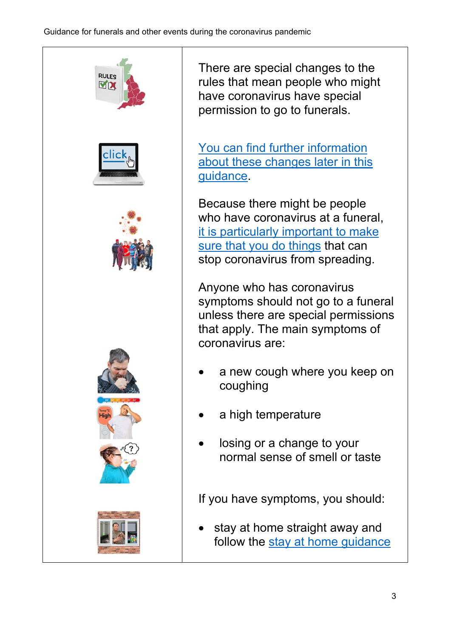

There are special changes to the rules that mean people who might have coronavirus have special permission to go to funerals.

You can find further information about these changes later in this guidance.

Because there might be people who have coronavirus at a funeral. it is particularly important to make sure that you do things that can stop coronavirus from spreading.

Anyone who has coronavirus symptoms should not go to a funeral unless there are special permissions that apply. The main symptoms of coronavirus are:

- a new cough where you keep on coughing
- a high temperature
- losing or a change to your normal sense of smell or taste

If you have symptoms, you should:

 stay at home straight away and follow the stay at home guidance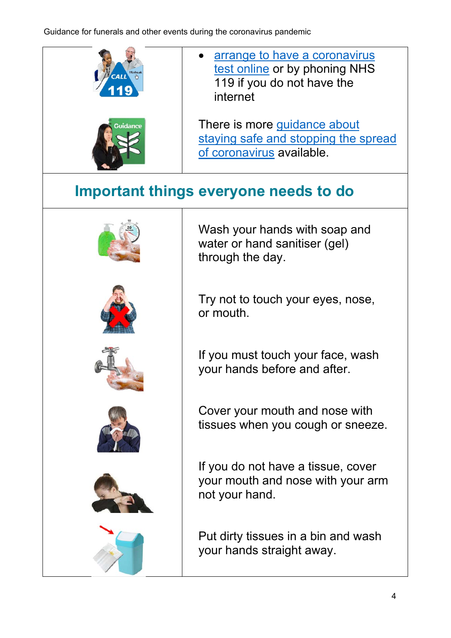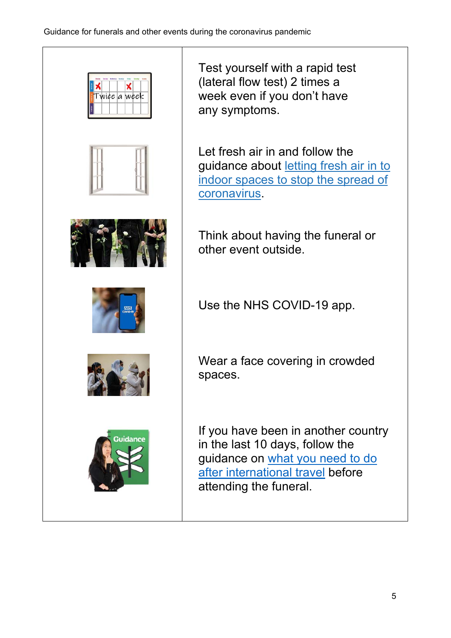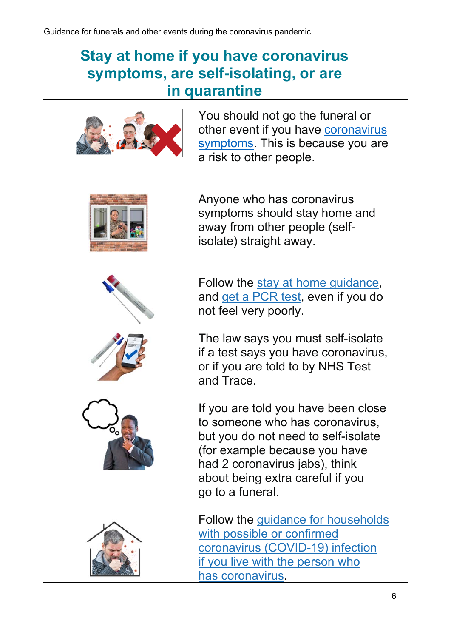#### **Stay at home if you have coronavirus symptoms, are self-isolating, or are in quarantine**









You should not go the funeral or other event if you have coronavirus symptoms. This is because you are a risk to other people.

Anyone who has coronavirus symptoms should stay home and away from other people (selfisolate) straight away.

Follow the stay at home guidance, and get a PCR test, even if you do not feel very poorly.

The law says you must self-isolate if a test says you have coronavirus, or if you are told to by NHS Test and Trace.

If you are told you have been close to someone who has coronavirus, but you do not need to self-isolate (for example because you have had 2 coronavirus jabs), think about being extra careful if you go to a funeral.

Follow the guidance for households with possible or confirmed coronavirus (COVID-19) infection if you live with the person who has coronavirus.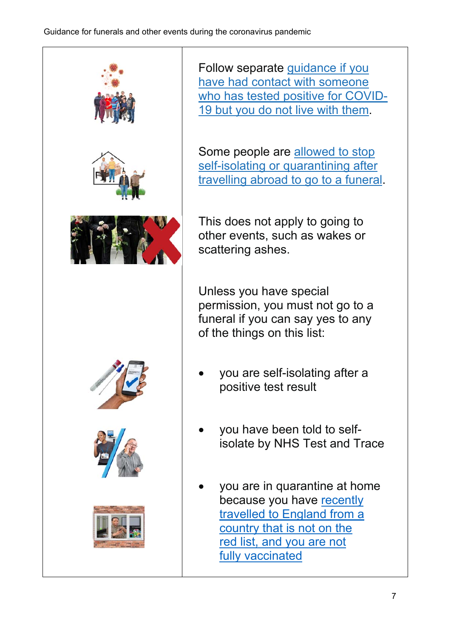

Follow separate guidance if you have had contact with someone who has tested positive for COVID-19 but you do not live with them.

Some people are allowed to stop self-isolating or quarantining after travelling abroad to go to a funeral.

This does not apply to going to other events, such as wakes or scattering ashes.

Unless you have special permission, you must not go to a funeral if you can say yes to any of the things on this list:

- you are self-isolating after a positive test result
- you have been told to selfisolate by NHS Test and Trace
- you are in quarantine at home because you have recently travelled to England from a country that is not on the red list, and you are not fully vaccinated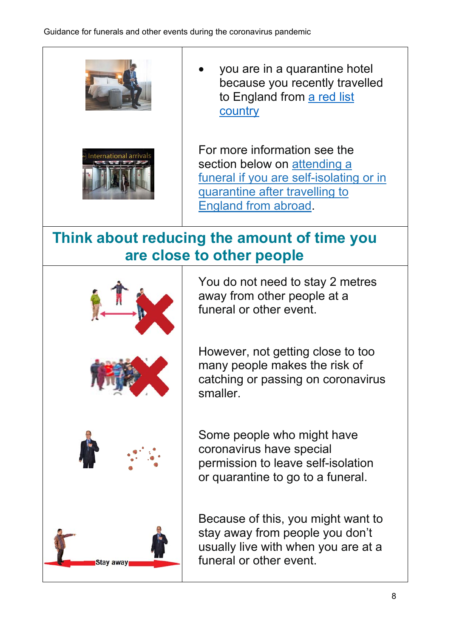



 you are in a quarantine hotel because you recently travelled to England from a red list country

For more information see the section below on attending a funeral if you are self-isolating or in quarantine after travelling to England from abroad.

#### **Think about reducing the amount of time you are close to other people**



You do not need to stay 2 metres away from other people at a funeral or other event.

However, not getting close to too many people makes the risk of catching or passing on coronavirus smaller.

Some people who might have coronavirus have special permission to leave self-isolation or quarantine to go to a funeral.

Because of this, you might want to stay away from people you don't usually live with when you are at a funeral or other event.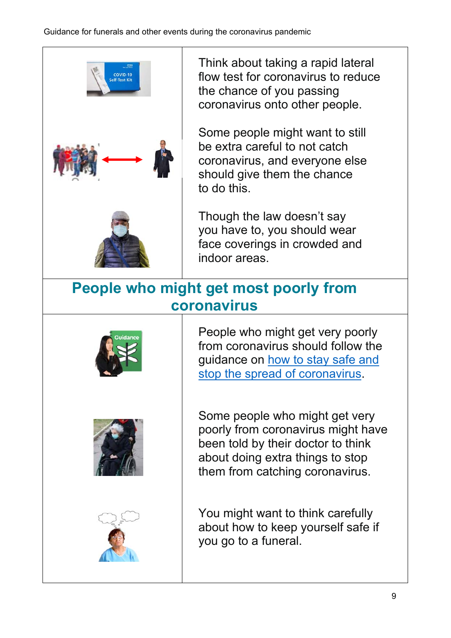

Think about taking a rapid lateral flow test for coronavirus to reduce the chance of you passing coronavirus onto other people.

Some people might want to still be extra careful to not catch coronavirus, and everyone else should give them the chance to do this.

Though the law doesn't say you have to, you should wear face coverings in crowded and indoor areas.

#### **People who might get most poorly from coronavirus**







People who might get very poorly from coronavirus should follow the guidance on how to stay safe and stop the spread of coronavirus.

Some people who might get very poorly from coronavirus might have been told by their doctor to think about doing extra things to stop them from catching coronavirus.

You might want to think carefully about how to keep yourself safe if you go to a funeral.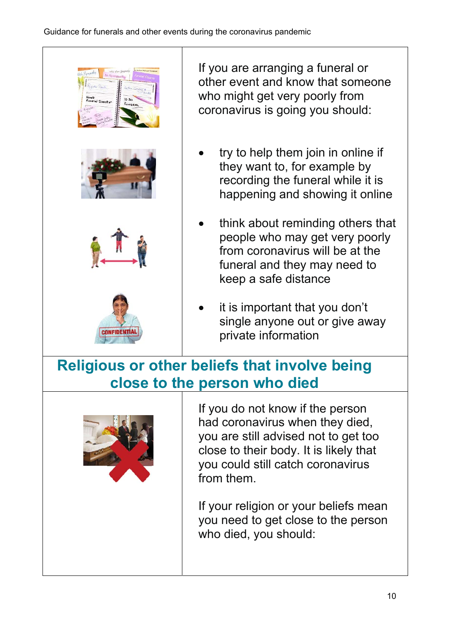

If you are arranging a funeral or other event and know that someone who might get very poorly from coronavirus is going you should:

- try to help them join in online if they want to, for example by recording the funeral while it is happening and showing it online
- think about reminding others that people who may get very poorly from coronavirus will be at the funeral and they may need to keep a safe distance
- it is important that you don't single anyone out or give away private information

## **Religious or other beliefs that involve being close to the person who died**



If you do not know if the person had coronavirus when they died, you are still advised not to get too close to their body. It is likely that you could still catch coronavirus from them.

If your religion or your beliefs mean you need to get close to the person who died, you should: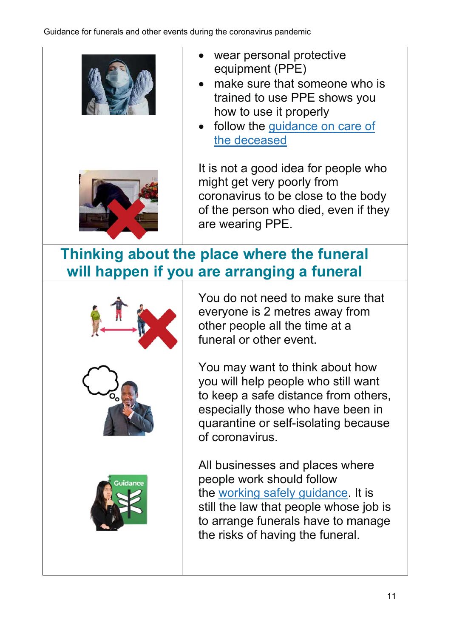



- wear personal protective equipment (PPE)
- make sure that someone who is trained to use PPE shows you how to use it properly
- follow the quidance on care of the deceased

It is not a good idea for people who might get very poorly from coronavirus to be close to the body of the person who died, even if they are wearing PPE.

## **Thinking about the place where the funeral will happen if you are arranging a funeral**



You do not need to make sure that everyone is 2 metres away from other people all the time at a funeral or other event.

You may want to think about how you will help people who still want to keep a safe distance from others, especially those who have been in quarantine or self-isolating because of coronavirus.

All businesses and places where people work should follow the working safely guidance. It is still the law that people whose job is to arrange funerals have to manage the risks of having the funeral.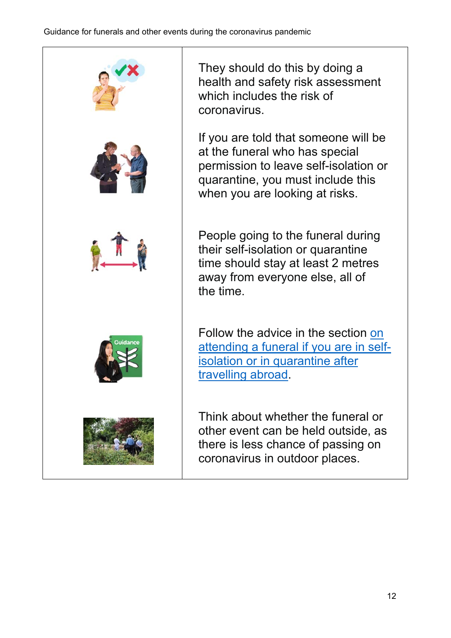

They should do this by doing a health and safety risk assessment which includes the risk of coronavirus.

If you are told that someone will be at the funeral who has special permission to leave self-isolation or quarantine, you must include this when you are looking at risks.

People going to the funeral during their self-isolation or quarantine time should stay at least 2 metres away from everyone else, all of the time.

Follow the advice in the section on attending a funeral if you are in selfisolation or in quarantine after travelling abroad.

Think about whether the funeral or other event can be held outside, as there is less chance of passing on coronavirus in outdoor places.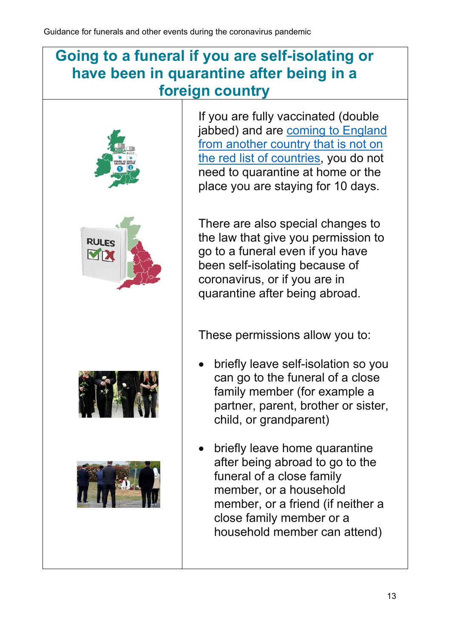#### **Going to a funeral if you are self-isolating or have been in quarantine after being in a foreign country**



If you are fully vaccinated (double jabbed) and are coming to England from another country that is not on the red list of countries, you do not need to quarantine at home or the place you are staying for 10 days.

There are also special changes to the law that give you permission to go to a funeral even if you have been self-isolating because of coronavirus, or if you are in quarantine after being abroad.

These permissions allow you to:

- briefly leave self-isolation so you can go to the funeral of a close family member (for example a partner, parent, brother or sister, child, or grandparent)
- briefly leave home quarantine after being abroad to go to the funeral of a close family member, or a household member, or a friend (if neither a close family member or a household member can attend)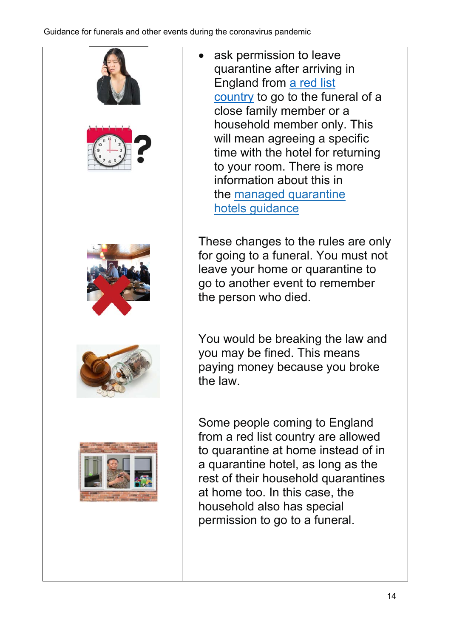

 ask permission to leave quarantine after arriving in England from a red list country to go to the funeral of a close family member or a household member only. This will mean agreeing a specific time with the hotel for returning to your room. There is more information about this in the managed quarantine hotels guidance

These changes to the rules are only for going to a funeral. You must not leave your home or quarantine to go to another event to remember the person who died.

You would be breaking the law and you may be fined. This means paying money because you broke the law.

Some people coming to England from a red list country are allowed to quarantine at home instead of in a quarantine hotel, as long as the rest of their household quarantines at home too. In this case, the household also has special permission to go to a funeral.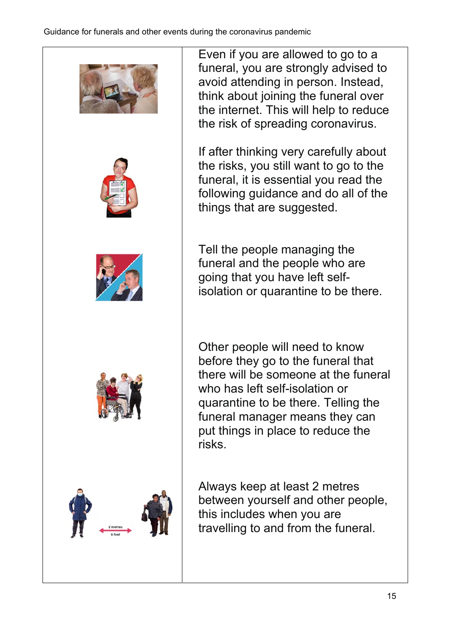

Even if you are allowed to go to a funeral, you are strongly advised to avoid attending in person. Instead, think about joining the funeral over the internet. This will help to reduce the risk of spreading coronavirus.

If after thinking very carefully about the risks, you still want to go to the funeral, it is essential you read the following guidance and do all of the things that are suggested.

Tell the people managing the funeral and the people who are going that you have left selfisolation or quarantine to be there.

Other people will need to know before they go to the funeral that there will be someone at the funeral who has left self-isolation or quarantine to be there. Telling the funeral manager means they can put things in place to reduce the risks.

Always keep at least 2 metres between yourself and other people, this includes when you are travelling to and from the funeral.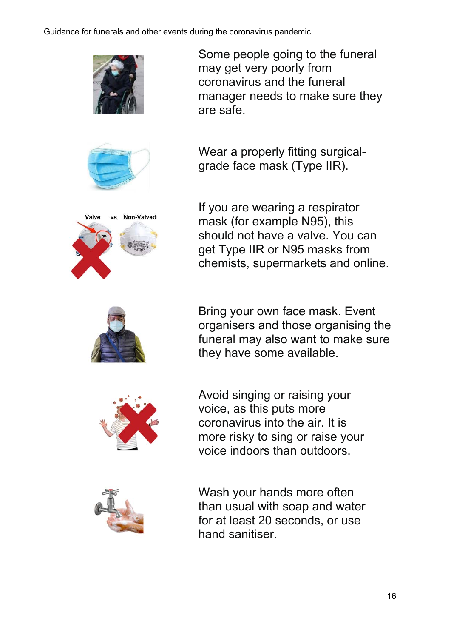

Some people going to the funeral may get very poorly from coronavirus and the funeral manager needs to make sure they are safe.

Wear a properly fitting surgicalgrade face mask (Type IIR).

If you are wearing a respirator mask (for example N95), this should not have a valve. You can get Type IIR or N95 masks from chemists, supermarkets and online.

Bring your own face mask. Event organisers and those organising the funeral may also want to make sure they have some available.

Avoid singing or raising your voice, as this puts more coronavirus into the air. It is more risky to sing or raise your voice indoors than outdoors.

Wash your hands more often than usual with soap and water for at least 20 seconds, or use hand sanitiser.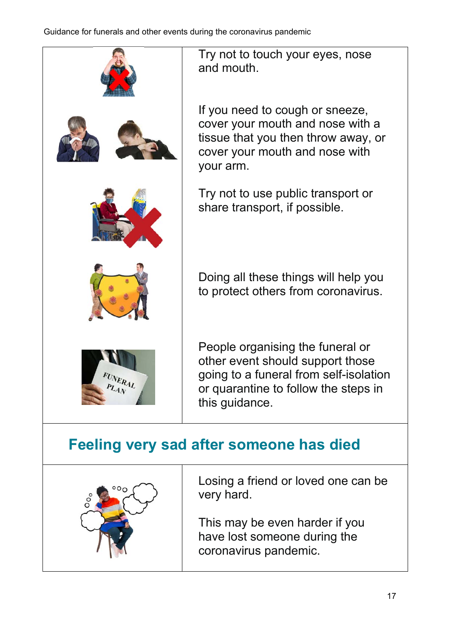

Try not to touch your eyes, nose and mouth.

If you need to cough or sneeze, cover your mouth and nose with a tissue that you then throw away, or cover your mouth and nose with your arm.

Try not to use public transport or share transport, if possible.

Doing all these things will help you to protect others from coronavirus.

People organising the funeral or other event should support those going to a funeral from self-isolation or quarantine to follow the steps in this guidance.

### **Feeling very sad after someone has died**



Losing a friend or loved one can be very hard.

This may be even harder if you have lost someone during the coronavirus pandemic.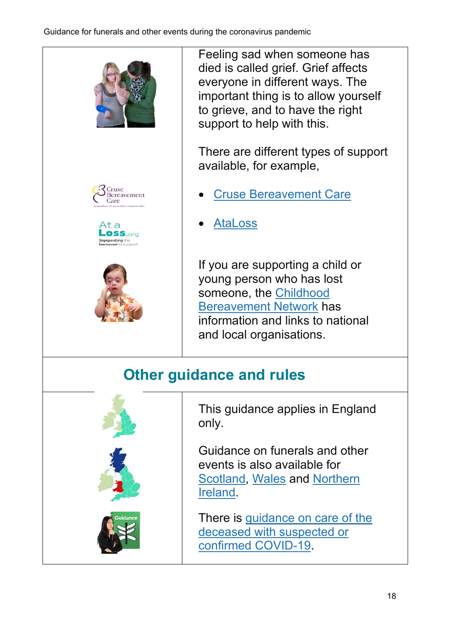

Feeling sad when someone has died is called grief. Grief affects everyone in different ways. The important thing is to allow yourself to grieve, and to have the right support to help with this.

There are different types of support available, for example,

- Cruse Bereavement Care
- AtaLoss

If you are supporting a child or young person who has lost someone, the Childhood Bereavement Network has information and links to national and local organisations.

### **Other guidance and rules**



This guidance applies in England only.

Guidance on funerals and other events is also available for Scotland, Wales and Northern Ireland.

There is guidance on care of the deceased with suspected or confirmed COVID-19.